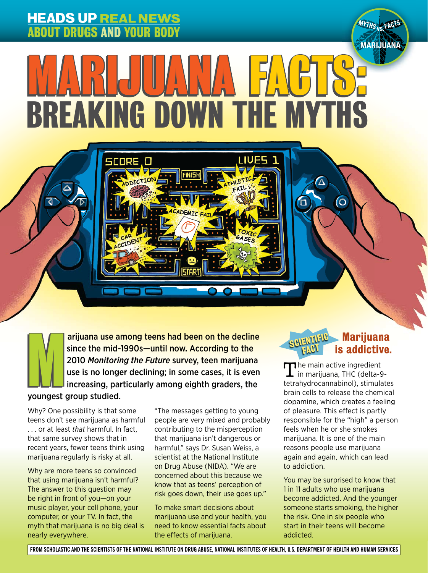# **HEADS UP REAL NEWS** ABOUT DRUGS AND YOUR BODY

**ORE O** 

 $\overline{a}$ 

**MARIJUANA** I Ĭ BREAKING DOWN THE MYTHS ANA FACTS

HEADS UP REAL NEWSFILM

**IUFS** 

arijuana use among teens had been on the decline since the mid-1990s—until now. According to the 2010 *Monitoring the Future* survey, teen marijuana use is no longer declining; in some cases, it is even arijuana use among teens had been on the decline<br>since the mid-1990s—until now. According to the<br>2010 Monitoring the Future survey, teen marijuana<br>use is no longer declining; in some cases, it is even<br>increasing, particula youngest group studied.

Why? One possibility is that some teens don't see marijuana as harmful . . . or at least *that* harmful. In fact, that same survey shows that in recent years, fewer teens think using marijuana regularly is risky at all.

Why are more teens so convinced that using marijuana isn't harmful? The answer to this question may be right in front of you—on your music player, your cell phone, your computer, or your TV. In fact, the myth that marijuana is no big deal is nearly everywhere.

"The messages getting to young people are very mixed and probably contributing to the misperception that marijuana isn't dangerous or harmful," says Dr. Susan Weiss, a scientist at the National Institute on Drug Abuse (NIDA). "We are concerned about this because we know that as teens' perception of risk goes down, their use goes up."

To make smart decisions about marijuana use and your health, you need to know essential facts about the effects of marijuana.

## Marijuana **SCIENTIFIC Marijuana**<br>**SCIENT FACT SCIENCE**

**vs. MYTHS FACTS**

The main active ingredient<br>in marijuana, THC (delta-9tetrahydrocannabinol), stimulates brain cells to release the chemical dopamine, which creates a feeling of pleasure. This effect is partly responsible for the "high" a person feels when he or she smokes marijuana. It is one of the main reasons people use marijuana again and again, which can lead to addiction.

You may be surprised to know that 1 in 11 adults who use marijuana become addicted. And the younger someone starts smoking, the higher the risk. One in six people who start in their teens will become addicted.